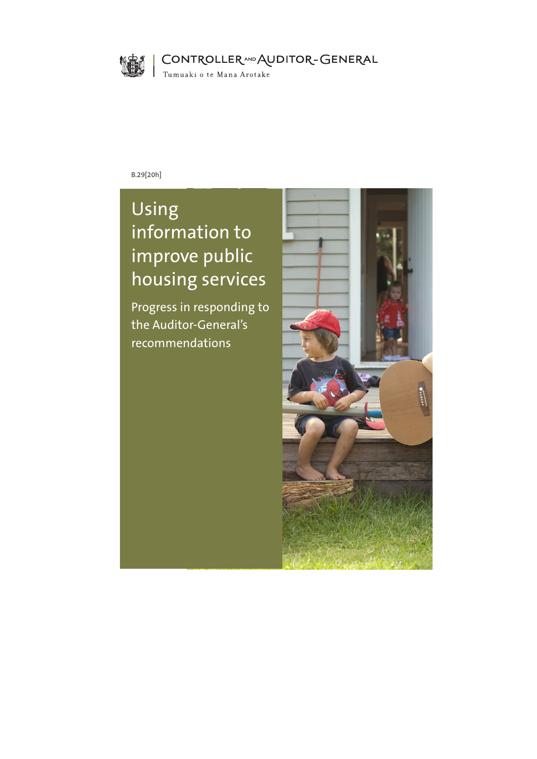

CONTROLLERAND AUDITOR-GENERAL

Tumuaki o te Mana Arotake

**B.29[20h]**

# Using information to improve public housing services

Progress in responding to the Auditor-General's recommendations

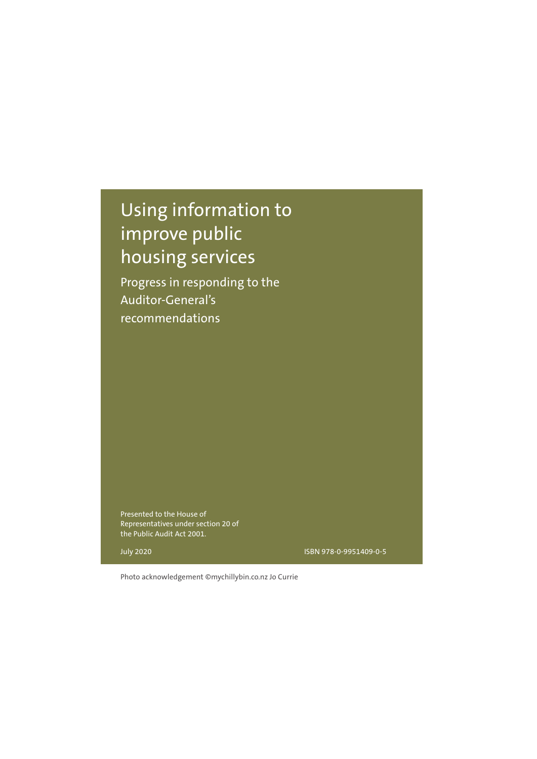# Using information to improve public housing services

Progress in responding to the Auditor-General's recommendations

Presented to the House of Representatives under section 20 of the Public Audit Act 2001.

July 2020

ISBN 978-0-9951409-0-5

Photo acknowledgement ©mychillybin.co.nz Jo Currie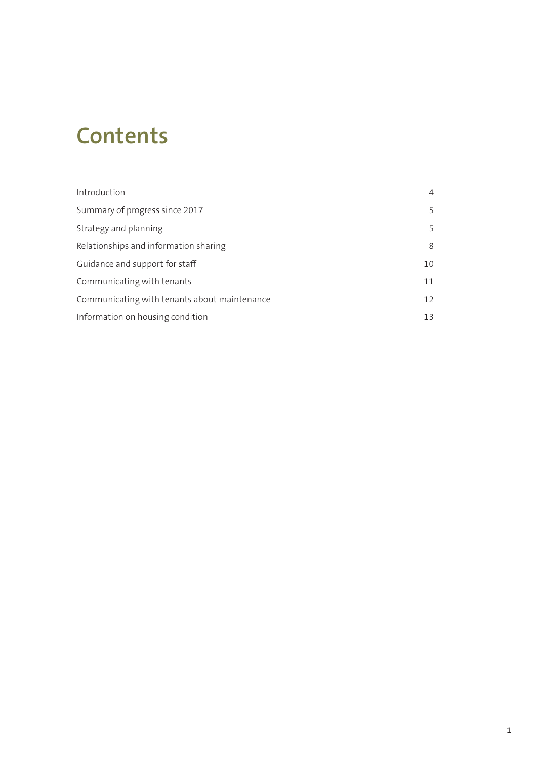# **Contents**

| Introduction                                 | 4  |
|----------------------------------------------|----|
| Summary of progress since 2017               | 5  |
| Strategy and planning                        | 5  |
| Relationships and information sharing        | 8  |
| Guidance and support for staff               | 10 |
| Communicating with tenants                   | 11 |
| Communicating with tenants about maintenance | 12 |
| Information on housing condition             | 13 |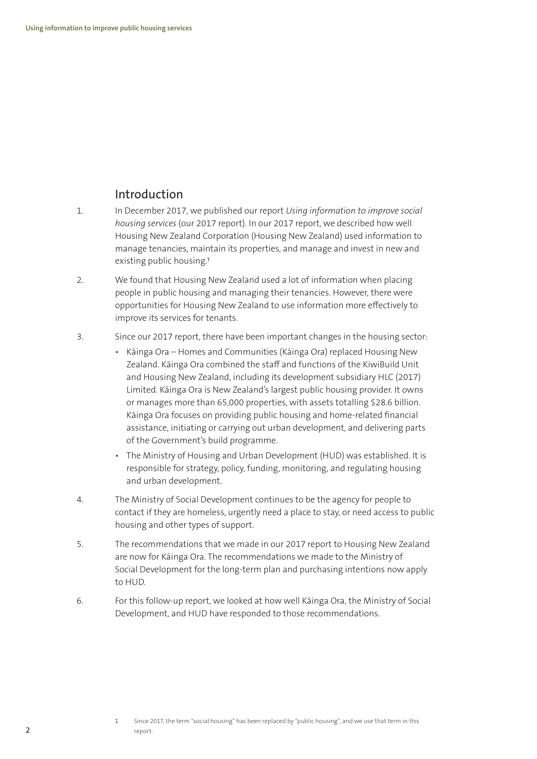#### Introduction

- 1. In December 2017, we published our report *Using information to improve social housing services* (our 2017 report). In our 2017 report, we described how well Housing New Zealand Corporation (Housing New Zealand) used information to manage tenancies, maintain its properties, and manage and invest in new and existing public housing.<sup>1</sup>
- 2. We found that Housing New Zealand used a lot of information when placing people in public housing and managing their tenancies. However, there were opportunities for Housing New Zealand to use information more effectively to improve its services for tenants.
- 3. Since our 2017 report, there have been important changes in the housing sector:
	- Kāinga Ora Homes and Communities (Kāinga Ora) replaced Housing New Zealand. Kāinga Ora combined the staff and functions of the KiwiBuild Unit and Housing New Zealand, including its development subsidiary HLC (2017) Limited. Kāinga Ora is New Zealand's largest public housing provider. It owns or manages more than 65,000 properties, with assets totalling \$28.6 billion. Kāinga Ora focuses on providing public housing and home-related financial assistance, initiating or carrying out urban development, and delivering parts of the Government's build programme.
	- The Ministry of Housing and Urban Development (HUD) was established. It is responsible for strategy, policy, funding, monitoring, and regulating housing and urban development.
- 4. The Ministry of Social Development continues to be the agency for people to contact if they are homeless, urgently need a place to stay, or need access to public housing and other types of support.
- 5. The recommendations that we made in our 2017 report to Housing New Zealand are now for Kāinga Ora. The recommendations we made to the Ministry of Social Development for the long-term plan and purchasing intentions now apply to HUD.
- 6. For this follow-up report, we looked at how well Kāinga Ora, the Ministry of Social Development, and HUD have responded to those recommendations.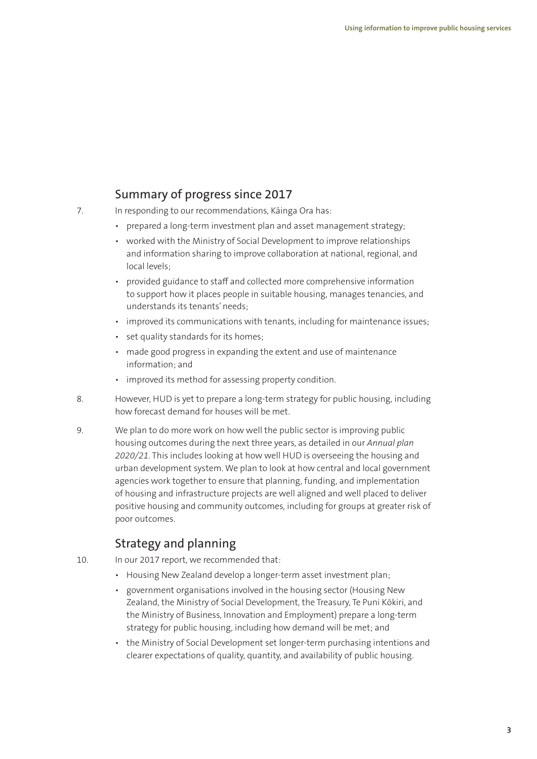## Summary of progress since 2017

- 7. In responding to our recommendations, Kāinga Ora has:
	- prepared a long-term investment plan and asset management strategy;
	- worked with the Ministry of Social Development to improve relationships and information sharing to improve collaboration at national, regional, and local levels;
	- provided guidance to staff and collected more comprehensive information to support how it places people in suitable housing, manages tenancies, and understands its tenants' needs;
	- improved its communications with tenants, including for maintenance issues;
	- set quality standards for its homes;
	- made good progress in expanding the extent and use of maintenance information; and
	- improved its method for assessing property condition.
- 8. However, HUD is yet to prepare a long-term strategy for public housing, including how forecast demand for houses will be met.
- 9. We plan to do more work on how well the public sector is improving public housing outcomes during the next three years, as detailed in our *Annual plan 2020/21*. This includes looking at how well HUD is overseeing the housing and urban development system. We plan to look at how central and local government agencies work together to ensure that planning, funding, and implementation of housing and infrastructure projects are well aligned and well placed to deliver positive housing and community outcomes, including for groups at greater risk of poor outcomes.

## Strategy and planning

- 10. In our 2017 report, we recommended that:
	- Housing New Zealand develop a longer-term asset investment plan;
	- government organisations involved in the housing sector (Housing New Zealand, the Ministry of Social Development, the Treasury, Te Puni Kōkiri, and the Ministry of Business, Innovation and Employment) prepare a long-term strategy for public housing, including how demand will be met; and
	- the Ministry of Social Development set longer-term purchasing intentions and clearer expectations of quality, quantity, and availability of public housing.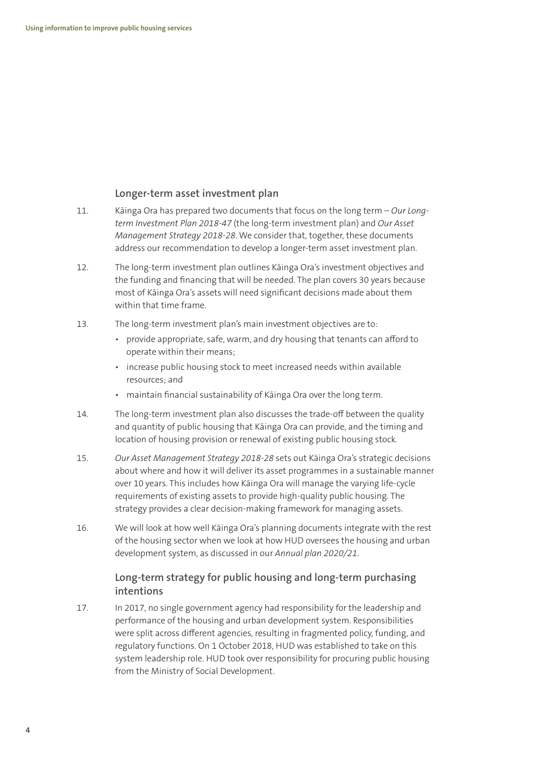#### **Longer-term asset investment plan**

- 11. Kāinga Ora has prepared two documents that focus on the long term *Our Longterm Investment Plan 2018-47* (the long-term investment plan) and *Our Asset Management Strategy 2018-28*. We consider that, together, these documents address our recommendation to develop a longer-term asset investment plan.
- 12. The long-term investment plan outlines Kāinga Ora's investment objectives and the funding and financing that will be needed. The plan covers 30 years because most of Kāinga Ora's assets will need significant decisions made about them within that time frame.
- 13. The long-term investment plan's main investment objectives are to:
	- provide appropriate, safe, warm, and dry housing that tenants can afford to operate within their means;
	- increase public housing stock to meet increased needs within available resources; and
	- maintain financial sustainability of Kāinga Ora over the long term.
- 14. The long-term investment plan also discusses the trade-off between the quality and quantity of public housing that Kāinga Ora can provide, and the timing and location of housing provision or renewal of existing public housing stock.
- 15. *Our Asset Management Strategy 2018-28* sets out Kāinga Ora's strategic decisions about where and how it will deliver its asset programmes in a sustainable manner over 10 years. This includes how Kāinga Ora will manage the varying life-cycle requirements of existing assets to provide high-quality public housing. The strategy provides a clear decision-making framework for managing assets.
- 16. We will look at how well Kāinga Ora's planning documents integrate with the rest of the housing sector when we look at how HUD oversees the housing and urban development system, as discussed in our *Annual plan 2020/21*.

#### **Long-term strategy for public housing and long-term purchasing intentions**

17. In 2017, no single government agency had responsibility for the leadership and performance of the housing and urban development system. Responsibilities were split across different agencies, resulting in fragmented policy, funding, and regulatory functions. On 1 October 2018, HUD was established to take on this system leadership role. HUD took over responsibility for procuring public housing from the Ministry of Social Development.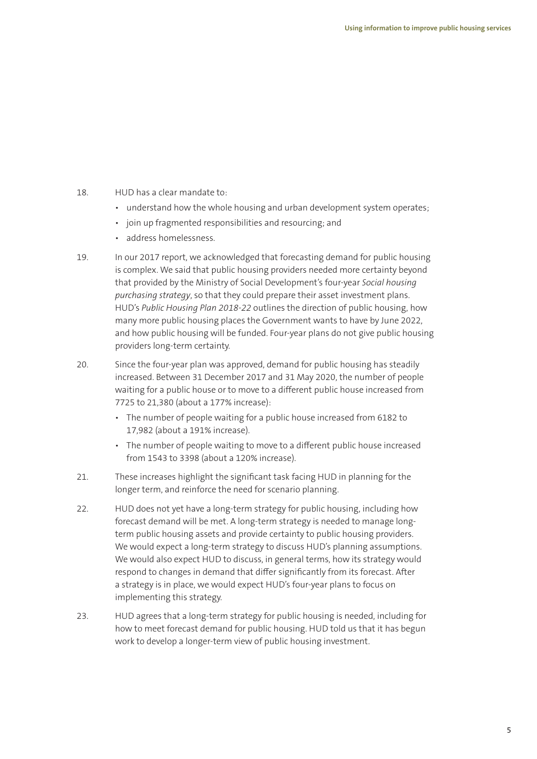- 18. HUD has a clear mandate to:
	- understand how the whole housing and urban development system operates;
	- join up fragmented responsibilities and resourcing; and
	- address homelessness.
- 19. In our 2017 report, we acknowledged that forecasting demand for public housing is complex. We said that public housing providers needed more certainty beyond that provided by the Ministry of Social Development's four-year *Social housing purchasing strategy*, so that they could prepare their asset investment plans. HUD's *Public Housing Plan 2018-22* outlines the direction of public housing, how many more public housing places the Government wants to have by June 2022, and how public housing will be funded. Four-year plans do not give public housing providers long-term certainty.
- 20. Since the four-year plan was approved, demand for public housing has steadily increased. Between 31 December 2017 and 31 May 2020, the number of people waiting for a public house or to move to a different public house increased from 7725 to 21,380 (about a 177% increase):
	- The number of people waiting for a public house increased from 6182 to 17,982 (about a 191% increase).
	- The number of people waiting to move to a different public house increased from 1543 to 3398 (about a 120% increase).
- 21. These increases highlight the significant task facing HUD in planning for the longer term, and reinforce the need for scenario planning.
- 22. HUD does not yet have a long-term strategy for public housing, including how forecast demand will be met. A long-term strategy is needed to manage longterm public housing assets and provide certainty to public housing providers. We would expect a long-term strategy to discuss HUD's planning assumptions. We would also expect HUD to discuss, in general terms, how its strategy would respond to changes in demand that differ significantly from its forecast. After a strategy is in place, we would expect HUD's four-year plans to focus on implementing this strategy.
- 23. HUD agrees that a long-term strategy for public housing is needed, including for how to meet forecast demand for public housing. HUD told us that it has begun work to develop a longer-term view of public housing investment.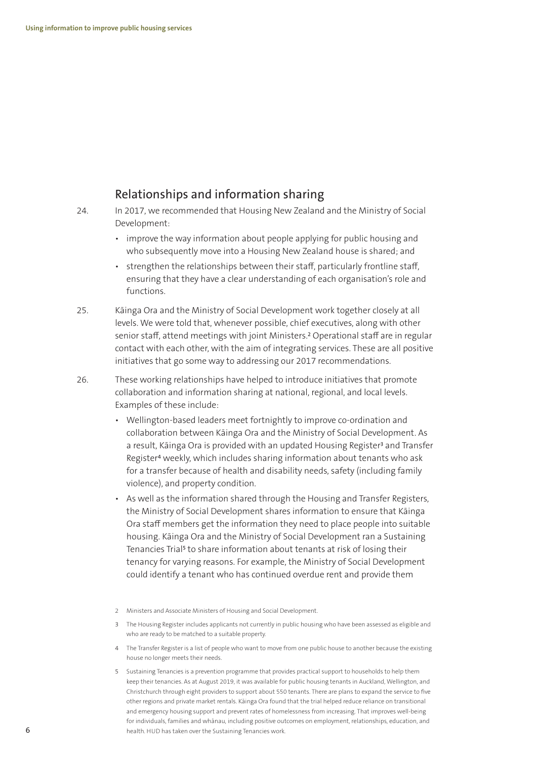#### Relationships and information sharing

- 24. In 2017, we recommended that Housing New Zealand and the Ministry of Social Development:
	- improve the way information about people applying for public housing and who subsequently move into a Housing New Zealand house is shared; and
	- strengthen the relationships between their staff, particularly frontline staff, ensuring that they have a clear understanding of each organisation's role and functions.
- 25. Kāinga Ora and the Ministry of Social Development work together closely at all levels. We were told that, whenever possible, chief executives, along with other senior staff, attend meetings with joint Ministers.2 Operational staff are in regular contact with each other, with the aim of integrating services. These are all positive initiatives that go some way to addressing our 2017 recommendations.
- 26. These working relationships have helped to introduce initiatives that promote collaboration and information sharing at national, regional, and local levels. Examples of these include:
	- Wellington-based leaders meet fortnightly to improve co-ordination and collaboration between Kāinga Ora and the Ministry of Social Development. As a result, Kāinga Ora is provided with an updated Housing Register<sup>3</sup> and Transfer Register4 weekly, which includes sharing information about tenants who ask for a transfer because of health and disability needs, safety (including family violence), and property condition.
	- As well as the information shared through the Housing and Transfer Registers, the Ministry of Social Development shares information to ensure that Kāinga Ora staff members get the information they need to place people into suitable housing. Kāinga Ora and the Ministry of Social Development ran a Sustaining Tenancies Trial<sup>5</sup> to share information about tenants at risk of losing their tenancy for varying reasons. For example, the Ministry of Social Development could identify a tenant who has continued overdue rent and provide them
	- 2 Ministers and Associate Ministers of Housing and Social Development.

- 4 The Transfer Register is a list of people who want to move from one public house to another because the existing house no longer meets their needs.
- 5 Sustaining Tenancies is a prevention programme that provides practical support to households to help them keep their tenancies. As at August 2019, it was available for public housing tenants in Auckland, Wellington, and Christchurch through eight providers to support about 550 tenants. There are plans to expand the service to five other regions and private market rentals. Kāinga Ora found that the trial helped reduce reliance on transitional and emergency housing support and prevent rates of homelessness from increasing. That improves well-being for individuals, families and whānau, including positive outcomes on employment, relationships, education, and health. HUD has taken over the Sustaining Tenancies work.

<sup>3</sup> The Housing Register includes applicants not currently in public housing who have been assessed as eligible and who are ready to be matched to a suitable property.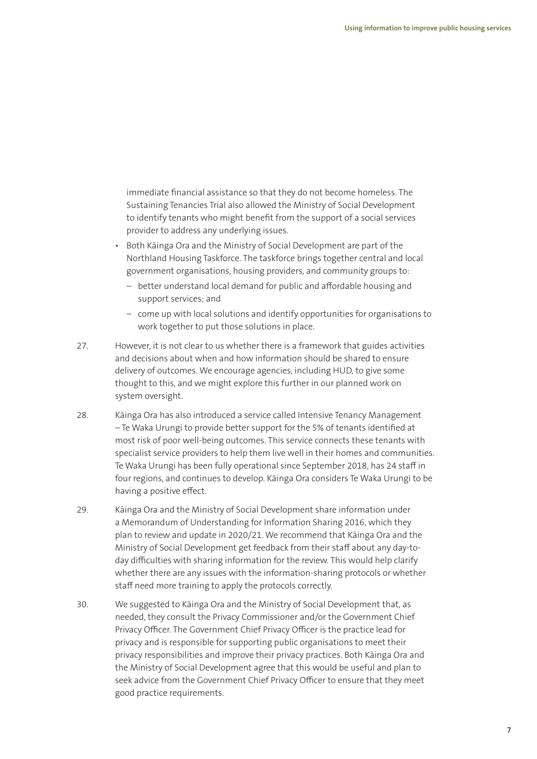immediate financial assistance so that they do not become homeless. The Sustaining Tenancies Trial also allowed the Ministry of Social Development to identify tenants who might benefit from the support of a social services provider to address any underlying issues.

- Both Kāinga Ora and the Ministry of Social Development are part of the Northland Housing Taskforce. The taskforce brings together central and local government organisations, housing providers, and community groups to:
	- better understand local demand for public and affordable housing and support services; and
	- come up with local solutions and identify opportunities for organisations to work together to put those solutions in place.
- 27. However, it is not clear to us whether there is a framework that guides activities and decisions about when and how information should be shared to ensure delivery of outcomes. We encourage agencies, including HUD, to give some thought to this, and we might explore this further in our planned work on system oversight.
- 28. Kāinga Ora has also introduced a service called Intensive Tenancy Management – Te Waka Urungi to provide better support for the 5% of tenants identified at most risk of poor well-being outcomes. This service connects these tenants with specialist service providers to help them live well in their homes and communities. Te Waka Urungi has been fully operational since September 2018, has 24 staff in four regions, and continues to develop. Kāinga Ora considers Te Waka Urungi to be having a positive effect.
- 29. Kāinga Ora and the Ministry of Social Development share information under a Memorandum of Understanding for Information Sharing 2016, which they plan to review and update in 2020/21. We recommend that Kāinga Ora and the Ministry of Social Development get feedback from their staff about any day-today difficulties with sharing information for the review. This would help clarify whether there are any issues with the information-sharing protocols or whether staff need more training to apply the protocols correctly.
- 30. We suggested to Kāinga Ora and the Ministry of Social Development that, as needed, they consult the Privacy Commissioner and/or the Government Chief Privacy Officer. The Government Chief Privacy Officer is the practice lead for privacy and is responsible for supporting public organisations to meet their privacy responsibilities and improve their privacy practices. Both Kāinga Ora and the Ministry of Social Development agree that this would be useful and plan to seek advice from the Government Chief Privacy Officer to ensure that they meet good practice requirements.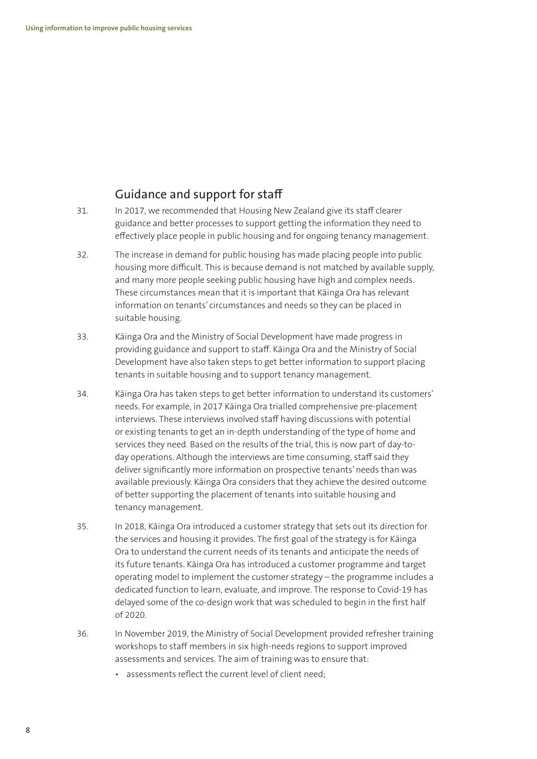## Guidance and support for staff

- 31. In 2017, we recommended that Housing New Zealand give its staff clearer guidance and better processes to support getting the information they need to effectively place people in public housing and for ongoing tenancy management.
- 32. The increase in demand for public housing has made placing people into public housing more difficult. This is because demand is not matched by available supply, and many more people seeking public housing have high and complex needs. These circumstances mean that it is important that Kāinga Ora has relevant information on tenants' circumstances and needs so they can be placed in suitable housing.
- 33. Kāinga Ora and the Ministry of Social Development have made progress in providing guidance and support to staff. Kāinga Ora and the Ministry of Social Development have also taken steps to get better information to support placing tenants in suitable housing and to support tenancy management.
- 34. Kāinga Ora has taken steps to get better information to understand its customers' needs. For example, in 2017 Kāinga Ora trialled comprehensive pre-placement interviews. These interviews involved staff having discussions with potential or existing tenants to get an in-depth understanding of the type of home and services they need. Based on the results of the trial, this is now part of day-today operations. Although the interviews are time consuming, staff said they deliver significantly more information on prospective tenants' needs than was available previously. Kāinga Ora considers that they achieve the desired outcome of better supporting the placement of tenants into suitable housing and tenancy management.
- 35. In 2018, Kāinga Ora introduced a customer strategy that sets out its direction for the services and housing it provides. The first goal of the strategy is for Kāinga Ora to understand the current needs of its tenants and anticipate the needs of its future tenants. Kāinga Ora has introduced a customer programme and target operating model to implement the customer strategy – the programme includes a dedicated function to learn, evaluate, and improve. The response to Covid-19 has delayed some of the co-design work that was scheduled to begin in the first half of 2020.
- 36. In November 2019, the Ministry of Social Development provided refresher training workshops to staff members in six high-needs regions to support improved assessments and services. The aim of training was to ensure that:
	- assessments reflect the current level of client need;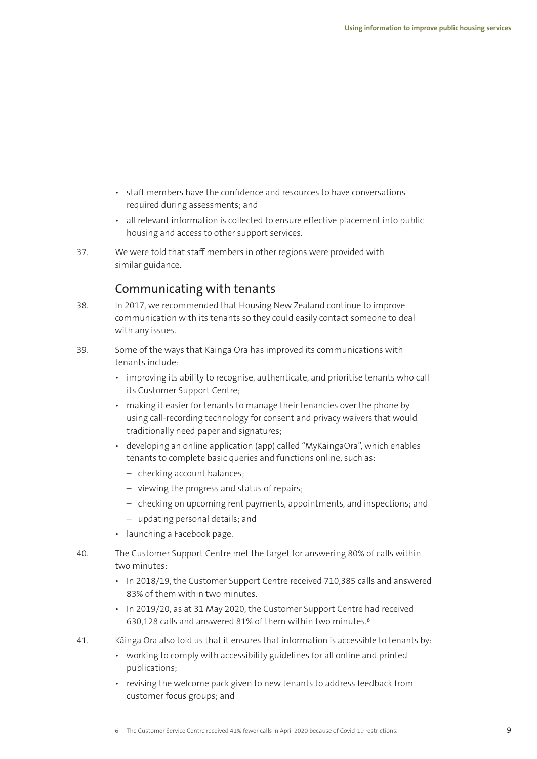- staff members have the confidence and resources to have conversations required during assessments; and
- all relevant information is collected to ensure effective placement into public housing and access to other support services.
- 37. We were told that staff members in other regions were provided with similar guidance.

#### Communicating with tenants

- 38. In 2017, we recommended that Housing New Zealand continue to improve communication with its tenants so they could easily contact someone to deal with any issues.
- 39. Some of the ways that Kāinga Ora has improved its communications with tenants include:
	- improving its ability to recognise, authenticate, and prioritise tenants who call its Customer Support Centre;
	- making it easier for tenants to manage their tenancies over the phone by using call-recording technology for consent and privacy waivers that would traditionally need paper and signatures;
	- developing an online application (app) called "MyKāingaOra", which enables tenants to complete basic queries and functions online, such as:
		- checking account balances;
		- viewing the progress and status of repairs;
		- checking on upcoming rent payments, appointments, and inspections; and
		- updating personal details; and
	- launching a Facebook page.
- 40. The Customer Support Centre met the target for answering 80% of calls within two minutes:
	- In 2018/19, the Customer Support Centre received 710,385 calls and answered 83% of them within two minutes.
	- In 2019/20, as at 31 May 2020, the Customer Support Centre had received 630,128 calls and answered 81% of them within two minutes.6
- 41. Kāinga Ora also told us that it ensures that information is accessible to tenants by:
	- working to comply with accessibility guidelines for all online and printed publications;
	- revising the welcome pack given to new tenants to address feedback from customer focus groups; and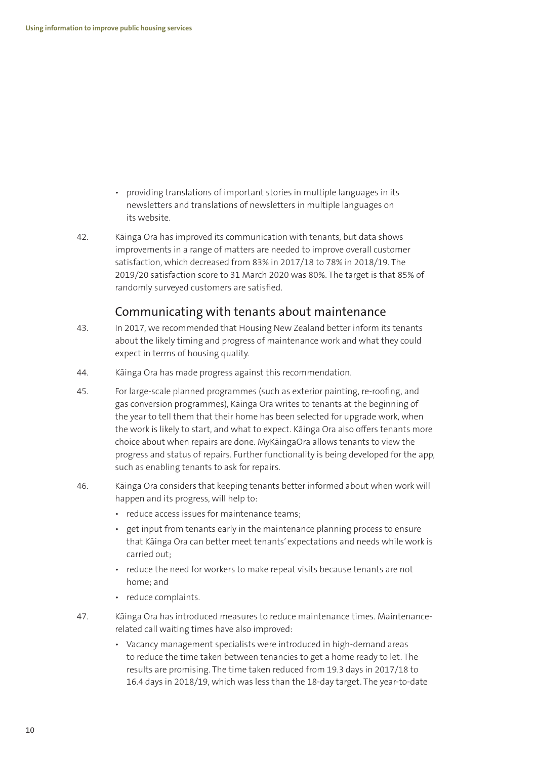- providing translations of important stories in multiple languages in its newsletters and translations of newsletters in multiple languages on its website.
- 42. Kāinga Ora has improved its communication with tenants, but data shows improvements in a range of matters are needed to improve overall customer satisfaction, which decreased from 83% in 2017/18 to 78% in 2018/19. The 2019/20 satisfaction score to 31 March 2020 was 80%. The target is that 85% of randomly surveyed customers are satisfied.

#### Communicating with tenants about maintenance

- 43. In 2017, we recommended that Housing New Zealand better inform its tenants about the likely timing and progress of maintenance work and what they could expect in terms of housing quality.
- 44. Kāinga Ora has made progress against this recommendation.
- 45. For large-scale planned programmes (such as exterior painting, re-roofing, and gas conversion programmes), Kāinga Ora writes to tenants at the beginning of the year to tell them that their home has been selected for upgrade work, when the work is likely to start, and what to expect. Kāinga Ora also offers tenants more choice about when repairs are done. MyKāingaOra allows tenants to view the progress and status of repairs. Further functionality is being developed for the app, such as enabling tenants to ask for repairs.
- 46. Kāinga Ora considers that keeping tenants better informed about when work will happen and its progress, will help to:
	- reduce access issues for maintenance teams;
	- get input from tenants early in the maintenance planning process to ensure that Kāinga Ora can better meet tenants' expectations and needs while work is carried out;
	- reduce the need for workers to make repeat visits because tenants are not home; and
	- reduce complaints.
- 47. Kāinga Ora has introduced measures to reduce maintenance times. Maintenancerelated call waiting times have also improved:
	- Vacancy management specialists were introduced in high-demand areas to reduce the time taken between tenancies to get a home ready to let. The results are promising. The time taken reduced from 19.3 days in 2017/18 to 16.4 days in 2018/19, which was less than the 18-day target. The year-to-date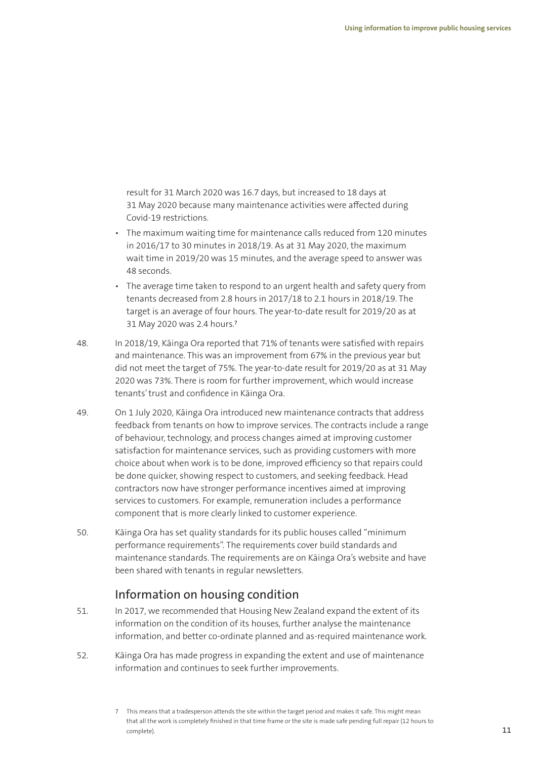result for 31 March 2020 was 16.7 days, but increased to 18 days at 31 May 2020 because many maintenance activities were affected during Covid-19 restrictions.

- The maximum waiting time for maintenance calls reduced from 120 minutes in 2016/17 to 30 minutes in 2018/19. As at 31 May 2020, the maximum wait time in 2019/20 was 15 minutes, and the average speed to answer was 48 seconds.
- The average time taken to respond to an urgent health and safety query from tenants decreased from 2.8 hours in 2017/18 to 2.1 hours in 2018/19. The target is an average of four hours. The year-to-date result for 2019/20 as at 31 May 2020 was 2.4 hours.7
- 48. In 2018/19, Kāinga Ora reported that 71% of tenants were satisfied with repairs and maintenance. This was an improvement from 67% in the previous year but did not meet the target of 75%. The year-to-date result for 2019/20 as at 31 May 2020 was 73%. There is room for further improvement, which would increase tenants' trust and confidence in Kāinga Ora.
- 49. On 1 July 2020, Kāinga Ora introduced new maintenance contracts that address feedback from tenants on how to improve services. The contracts include a range of behaviour, technology, and process changes aimed at improving customer satisfaction for maintenance services, such as providing customers with more choice about when work is to be done, improved efficiency so that repairs could be done quicker, showing respect to customers, and seeking feedback. Head contractors now have stronger performance incentives aimed at improving services to customers. For example, remuneration includes a performance component that is more clearly linked to customer experience.
- 50. Kāinga Ora has set quality standards for its public houses called "minimum performance requirements". The requirements cover build standards and maintenance standards. The requirements are on Kāinga Ora's website and have been shared with tenants in regular newsletters.

#### Information on housing condition

- 51. In 2017, we recommended that Housing New Zealand expand the extent of its information on the condition of its houses, further analyse the maintenance information, and better co-ordinate planned and as-required maintenance work.
- 52. Kāinga Ora has made progress in expanding the extent and use of maintenance information and continues to seek further improvements.

<sup>7</sup> This means that a tradesperson attends the site within the target period and makes it safe. This might mean that all the work is completely finished in that time frame or the site is made safe pending full repair (12 hours to complete).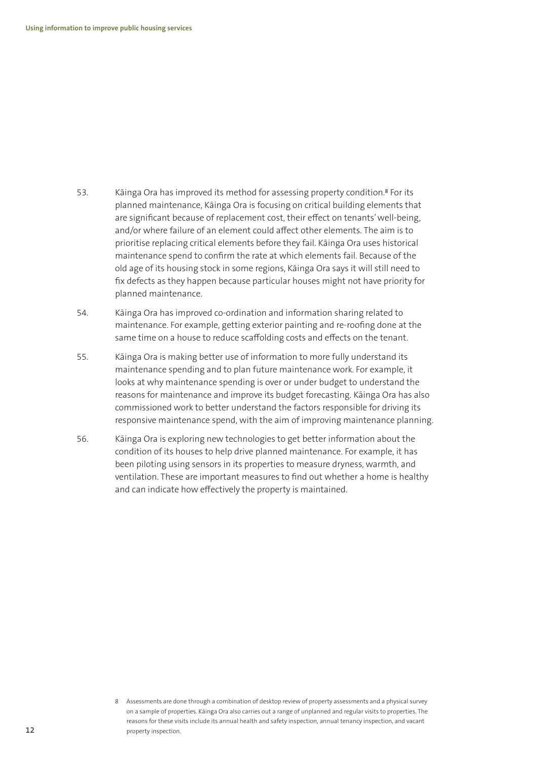- 53. Kāinga Ora has improved its method for assessing property condition.8 For its planned maintenance, Kāinga Ora is focusing on critical building elements that are significant because of replacement cost, their effect on tenants' well-being, and/or where failure of an element could affect other elements. The aim is to prioritise replacing critical elements before they fail. Kāinga Ora uses historical maintenance spend to confirm the rate at which elements fail. Because of the old age of its housing stock in some regions, Kāinga Ora says it will still need to fix defects as they happen because particular houses might not have priority for planned maintenance.
- 54. Kāinga Ora has improved co-ordination and information sharing related to maintenance. For example, getting exterior painting and re-roofing done at the same time on a house to reduce scaffolding costs and effects on the tenant.
- 55. Kāinga Ora is making better use of information to more fully understand its maintenance spending and to plan future maintenance work. For example, it looks at why maintenance spending is over or under budget to understand the reasons for maintenance and improve its budget forecasting. Kāinga Ora has also commissioned work to better understand the factors responsible for driving its responsive maintenance spend, with the aim of improving maintenance planning.
- 56. Kāinga Ora is exploring new technologies to get better information about the condition of its houses to help drive planned maintenance. For example, it has been piloting using sensors in its properties to measure dryness, warmth, and ventilation. These are important measures to find out whether a home is healthy and can indicate how effectively the property is maintained.

<sup>8</sup> Assessments are done through a combination of desktop review of property assessments and a physical survey on a sample of properties. Kāinga Ora also carries out a range of unplanned and regular visits to properties. The reasons for these visits include its annual health and safety inspection, annual tenancy inspection, and vacant property inspection.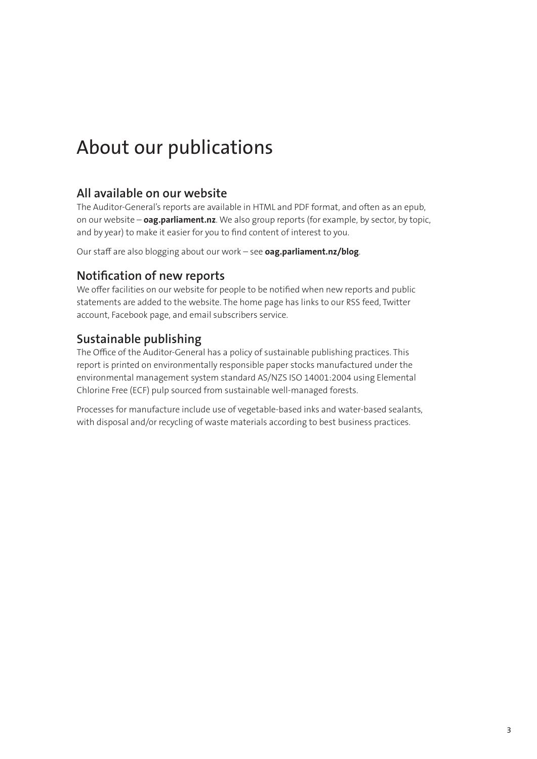# About our publications

#### **All available on our website**

The Auditor-General's reports are available in HTML and PDF format, and often as an epub, on our website – **oag.parliament.nz**. We also group reports (for example, by sector, by topic, and by year) to make it easier for you to find content of interest to you.

Our staff are also blogging about our work – see **oag.parliament.nz/blog**.

#### **Notification of new reports**

We offer facilities on our website for people to be notified when new reports and public statements are added to the website. The home page has links to our RSS feed, Twitter account, Facebook page, and email subscribers service.

## **Sustainable publishing**

The Office of the Auditor-General has a policy of sustainable publishing practices. This report is printed on environmentally responsible paper stocks manufactured under the environmental management system standard AS/NZS ISO 14001:2004 using Elemental Chlorine Free (ECF) pulp sourced from sustainable well-managed forests.

Processes for manufacture include use of vegetable-based inks and water-based sealants, with disposal and/or recycling of waste materials according to best business practices.